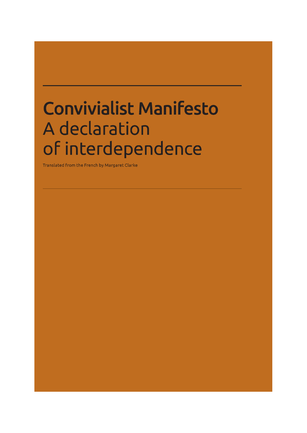# **Convivialist Manifesto A declaration of interdependence**

Translated from the French by Margaret Clarke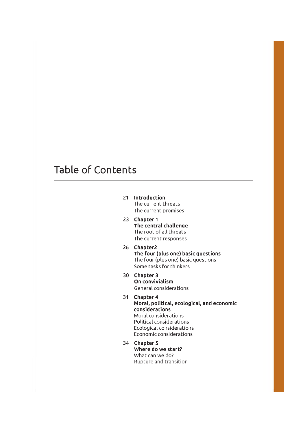# **Table of Contents**

- **21 Introduction** The current threats The current promises
- **23 Chapter 1 The central challenge** The root of all threats The current responses
- **26 Chapter2 The four (plus one) basic questions** The four (plus one) basic questions Some tasks for thinkers
- **30 Chapter 3 On convivialism** General considerations
- **31 Chapter 4 Moral, political, ecological, and economic considerations** Moral considerations Political considerations Ecological considerations Economic considerations
- **34 Chapter 5 Where do we start?** What can we do? Rupture and transition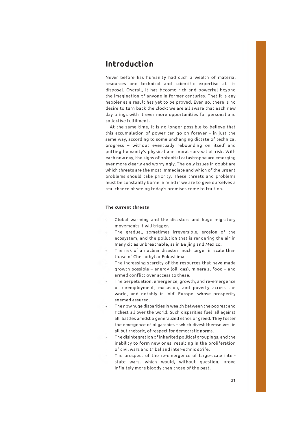### **Introduction**

Never before has humanity had such a wealth of material resources and technical and scientific expertise at its disposal. Overall, it has become rich and powerful beyond the imagination of anyone in former centuries. That it is any happier as a result has yet to be proved. Even so, there is no desire to turn back the clock: we are all aware that each new day brings with it ever more opportunities for personal and collective fulfilment.

At the same time, it is no longer possible to believe that this accumulation of power can go on forever  $-$  in just the same way, according to some unchanging dictate of technical progress - w ithout eventually rebounding on itself and putting humanity's physical and moral survival at risk. With each new day, the signs of potential catastrophe are emerging ever more clearly and worryingly. The only issues in doubt are which threats are the most immediate and which of the urgent problems should take priority. These threats and problems must be constantly borne in mind if we are to give ourselves a real chance of seeing today's promises come to fruition.

#### **The current threats**

- Global warming and the disasters and huge migratory movements it will trigger.
- The gradual, sometimes irreversible, erosion of the ecosystem, and the pollution that is rendering the air in many cities unbreathable, as in Beijing and Mexico.
- The risk of a nuclear disaster much larger in scale than those of Chernobyl or Fukushima.
- The increasing scarcity of the resources that have made growth possible - energy (oil, gas), minerals, food - and armed conflict over access to these.
- The perpetuation, emergence, growth, and re-emergence of unemployment, exclusion, and poverty across the world, and notably in 'old' Europe, whose prosperity seemed assured.
- The now huge disparities in wealth between the poorest and richest all over the world. Such disparities fuel 'all against all' battles amidst a generalized ethos of greed. They foster the emergence of oligarchies - which divest themselves, in all but rhetoric, of respect for democratic norms.
- The disintegration of inherited political groupings, and the inability to form new ones, resulting in the proliferation of civil wars and tribal and inter-ethnic strife.
- The prospect of the re-emergence of large-scale interstate wars, which would, without question, prove infinitely more bloody than those of the past.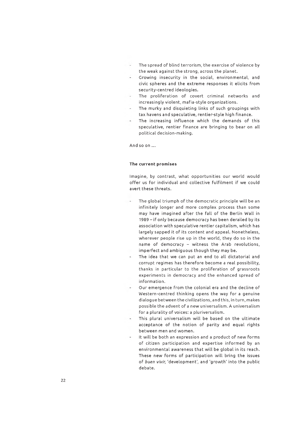- The spread of blind terrorism, the exercise of violence by the weak against the strong, across the planet.
- Growing insecurity in the social, environmental, and civic spheres and the extreme responses it elicits from security-centred ideologies.
- The proliferation of covert criminal networks and increasingly violent, mafia-style organizations.
- The murky and disquieting links of such groupings with tax havens and speculative, rentier-style high finance.
- The increasing influence which the demands of this speculative, rentier finance are bringing to bear on all political decision-making.

And so on ...

#### **The current promises**

Imagine, by contrast, what opportunities our world would offer us for individual and collective fulfilment if we could avert these threats.

- The global triumph of the democratic principle will be an infinitely longer and more complex process than some may have imagined after the fall of the Berlin Wall in 1989 - if only because democracy has been derailed by its association with speculative rentier capitalism, which has largely sapped it of its content and appeal. Nonetheless, wherever people rise up in the world, they do so in the name of democracy - witness the Arab revolutions, imperfect and ambiguous though they may be.
- The idea that we can put an end to all dictatorial and corrupt regimes has therefore become a real possibility, thanks in particular to the proliferation of grassroots experiments in democracy and the enhanced spread of information.
- Our emergence from the colonial era and the decline of Western-centred thinking opens the way for a genuine dialogue between the civilizations, and this, in turn, makes possible the advent of a new universalism. A universalism for a plurality of voices: a pluriversalism.
- This plural universalism will be based on the ultimate acceptance of the notion of parity and equal rights between men and women.
- It will be both an expression and a product of new forms of citizen participation and expertise informed by an environmental awareness that will be global in its reach. These new forms of participation will bring the issues of *buen vivir,* 'development', and 'growth' into the public debate.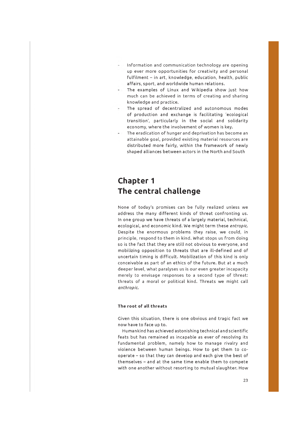- Information and communication technology are opening up ever more opportunities for creativity and personal fulfilment - in art, knowledge, education, health, public affairs, sport, and worldwide human relations.
- The examples of Linux and Wikipedia show just how much can be achieved in terms of creating and sharing knowledge and practice.
- The spread of decentralized and autonomous modes of production and exchange is facilitating 'ecological transition', particularly in the social and solidarity economy, where the involvement of women is key.
- The eradication of hunger and deprivation has become an attainable goal, provided existing material resources are distributed more fairly, within the framework of newly shaped alliances between actors in the North and South

# **Chapter 1 The central challenge**

None of today's promises can be fully realized unless we address the many different kinds of threat confronting us. In one group we have threats of a largely material, technical, ecological, and economic kind. We might term these *entropic.* Despite the enormous problems they raise, we could, in principle, respond to them in kind. W hat stops us from doing so is the fact that they are still not obvious to everyone, and mobilizing opposition to threats that are ill-defined and of uncertain timing is difficult. Mobilization of this kind is only conceivable as part of an ethics of the future. But at a much deeper level, what paralyses us is our even greater incapacity merely to envisage responses to a second type of threat: threats of a moral or political kind. Threats we might call *anthropic.*

#### **The root of all threats**

Given this situation, there is one obvious and tragic fact we now have to face up to.

Humankind has achieved astonishing technical and scientific feats but has remained as incapable as ever of resolving its fundamental problem, namely how to manage rivalry and violence between human beings. How to get them to cooperate - so that they can develop and each give the best of themselves - and at the same time enable them to compete with one another without resorting to mutual slaughter. How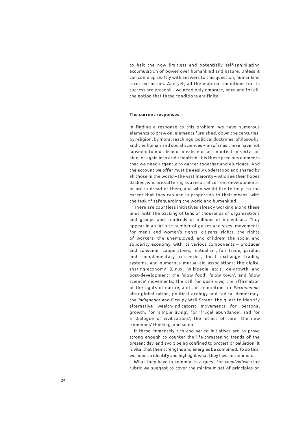to halt the now limitless and potentially self-annihilating accumulation of power over humankind and nature. Unless it can come up sw iftly with answers to this question, humankind faces extinction. And yet, all the material conditions for its success are present - we need only embrace, once and for all, the notion that these conditions are finite.

#### **The current responses**

In finding a response to this problem, we have numerous elements to draw on, elements furnished, down the centuries, by religion, by moral teachings, political doctrines, philosophy, and the human and social sciences - insofar as these have not lapsed into moralism or idealism of an impotent or sectarian kind, or again into arid scientism. It is these precious elements that we need urgently to gather together and elucidate. And the account we offer must be easily understood and shared by all those in the world - the vast majority - who see their hopes dashed, who are suffering as a result of current developments, or are in dread of them, and who would like to help, to the extent that they can and in proportion to their means, with the task of safeguarding the world and humankind.

There are countless initiatives already working along these lines, with the backing of tens of thousands of organizations and groups and hundreds of millions of individuals. They appear in an infinite number of guises and sizes: movements for men's and women's rights, citizens' rights, the rights of workers, the unemployed, and children; the social and solidarity economy, with its various components - producer and consumer cooperatives, mutualism, fair trade, parallel and complementary currencies, local exchange trading systems, and numerous mutual-aid associations; the digital sharing-economy (Linux, Wikipedia etc.); de-growth and post-development; the 'slow food', 'slow town', and 'slow science' movements; the call for *buen vivir,* the affirmation of the rights of nature, and the admiration for *Pachamama\* alter-globalization, political ecology and radical democracy, the *indignados* and Occupy Wall Street; the quest to identify alternative wealth-indicators; movements for personal growth, for 'simple living', for 'frugal abundance', and for a 'dialogue of civilizations'; the 'ethics of care', the new 'commons' thinking, and so on.

If these immensely rich and varied initiatives are to prove strong enough to counter the life-threatening trends of the present day, and avoid being confined to protest or palliation, it is vital that their strengths and energies be combined. To do this, we need to identify and highlight what they have in common.

What they have in common is a quest for *convivialism* (the rubric we suggest to cover the minimum set of principles on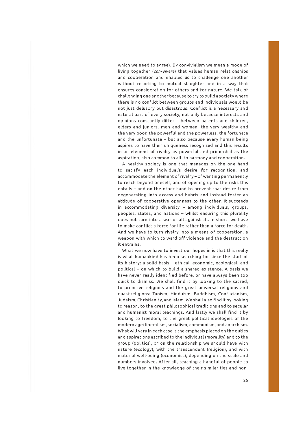which we need to agree). By convivialism we mean a mode of living together (*con-vivere*) that values human relationships and cooperation and enables us to challenge one another without resorting to mutual slaughter and in a way that ensures consideration for others and for nature. We talk of challenging one another because to try to build a society where there is no conflict between groups and individuals would be not just delusory but disastrous. Conflict is a necessary and natural part of every society, not only because interests and opinions constantly differ - between parents and children, elders and juniors, men and women, the very wealthy and the very poor, the powerful and the powerless, the fortunate and the unfortunate - but also because every human being aspires to have their uniqueness recognized and this results in an element of rivalry as powerful and primordial as the aspiration, also common to all, to harmony and cooperation.

A healthy society is one that manages on the one hand to satisfy each individual's desire for recognition, and accommodate the element of rivalry - of wanting permanently to reach beyond oneself, and of opening up to the risks this entails - and on the other hand to prevent that desire from degenerating into excess and hubris and instead foster an attitude of cooperative openness to the other. It succeeds in accommodating diversity  $-$  among individuals, groups, peoples, states, and nations - whilst ensuring this plurality does not turn into a war of all against all. In short, we have to make conflict a force for life rather than a force for death. And we have to turn rivalry into a means of cooperation, a weapon with which to ward off violence and the destruction it entrains.

What we now have to invest our hopes in is that this really is what humankind has been searching for since the start of its history: a solid basis - ethical, economic, ecological, and political - on which to build a shared existence. A basis we have never really identified before, or have always been too quick to dismiss. We shall find it by looking to the sacred, to primitive religions and the great universal religions and quasi-religions: Taoism, Hinduism, Buddhism, Confucianism, Judaism, Christianity, and Islam. We shall also find it by looking to reason, to the great philosophical traditions and to secular and humanist moral teachings. And lastly we shall find it by looking to freedom, to the great political ideologies of the modern age: liberalism, socialism, communism, and anarchism. What will vary in each case is the emphasis placed on the duties and aspirations ascribed to the individual (morality) and to the group (politics), or on the relationship we should have with nature (ecology), with the transcendent (religion), and with material well-being (economics), depending on the scale and numbers involved. After all, teaching a handful of people to live together in the knowledge of their similarities and non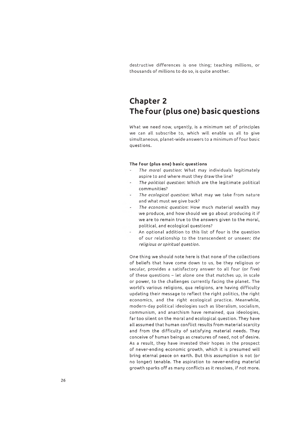destructive differences is one thing; teaching millions, or thousands of millions to do so, is quite another.

# **Chapter 2 The Four (plus one) basic questions**

What we need now, urgently, is a minimum set of principles we can all subscribe to, which will enable us all to give simultaneous, planet-wide answers to a minimum of four basic questions.

#### **The four (plus one) basic questions**

- *The m oral question:* What may individuals legitimately aspire to and where must they draw the line?
- The political question: Which are the legitimate political communities?
- *The ecological question:* What may we take from nature and what must we give back?
- *The economic question:* How much material wealth may we produce, and how should we go about producing it if we are to remain true to the answers given to the moral, political, and ecological questions?
- An optional addition to this list of four is the question of our relationship to the transcendent or unseen: *the religious or spiritual question.*

One thing we should note here is that none of the collections of beliefs that have come down to us, be they religious or secular, provides a satisfactory answer to all four (or five) of these questions  $-$  let alone one that matches up, in scale or power, to the challenges currently facing the planet. The world's various religions, qua religions, are having difficulty updating their message to reflect the right politics, the right economics, and the right ecological practice. Meanwhile, m odern-day political ideologies such as liberalism, socialism, communism, and anarchism have remained, qua ideologies, far too silent on the moral and ecological question. They have all assumed that human conflict results from material scarcity and from the difficulty of satisfying material needs. They conceive of human beings as creatures of need, not of desire. As a result, they have invested their hopes in the prospect of never-ending economic growth, which it is presumed will bring eternal peace on earth. But this assumption is not (or no longer) tenable. The aspiration to never-ending material growth sparks off as many conflicts as it resolves, if not more.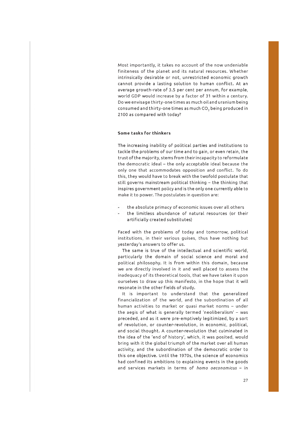Most importantly, it takes no account of the now undeniable finiteness of the planet and its natural resources. Whether intrinsically desirable or not, unrestricted economic growth cannot provide a lasting solution to human conflict. At an average growth-rate of 3.5 per cent per annum, for example, world GDP would increase by a factor of 31 within a century. Do we envisage thirty-one times as much oil and uranium being consumed and thirty-one times as much CO<sub>2</sub> being produced in 2100 as compared with today?

#### **Some tasks for thinkers**

The increasing inability of political parties and institutions to tackle the problems of our time and to gain, or even retain, the trust of the majority, stems from their incapacity to reformulate the democratic ideal - the only acceptable ideal because the only one that accommodates opposition and conflict. To do this, they would have to break with the twofold postulate that still governs mainstream political thinking - the thinking that inspires governm ent policy and is the only one currently able to make it to power. The postulates in question are:

- the absolute primacy of economic issues over all others
- the limitless abundance of natural resources (or their artificially created substitutes)

Faced with the problems of today and tomorrow, political institutions, in their various guises, thus have nothing but yesterday's answers to offer us.

The same is true of the intellectual and scientific world, particularly the domain of social science and moral and political philosophy. It is from within this domain, because we are directly involved in it and well placed to assess the inadequacy of its theoretical tools, that we have taken it upon ourselves to draw up this manifesto, in the hope that it will resonate in the other fields of study.

It is important to understand that the generalized financialization of the world, and the subordination of all human activities to market or quasi market norms - under the aegis of what is generally termed 'neoliberalism' - was preceded, and as it were pre-em ptively legitimized, by a sort of revolution, or counter-revolution, in economic, political, and social thought. A counter-revolution that culminated in the idea of the 'end of history', which, it was posited, would bring with it the global triumph of the market over all human activity, and the subordination of the democratic order to this one objective. Until the 1970s, the science of economics had confined its ambitions to explaining events in the goods and services markets in terms of *homo oeconomicus* - in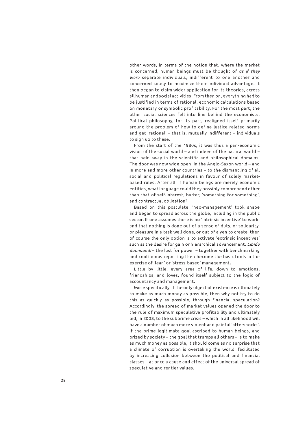other words, in terms of the notion that, where the market is concerned, human beings must be thought of *as if they were* separate individuals, indifferent to one another and concerned solely to maximize their individual advantage. It then began to claim wider application for its theories, across all human and social activities. From then on, everything had to be justified in terms of rational, economic calculations based on monetary or symbolic profitability. For the most part, the other social sciences fell into line behind the economists. Political philosophy, for its part, realigned itself primarily around the problem of how to define justice-related norms and get 'rational' - that is, mutually indifferent - individuals to sign up to these.

From the start of the 1980s, it was thus a pan-economic vision of the social world  $-$  and indeed of the natural world  $$ that held sway in the scientific and philosophical domains. The door was now wide open, in the Anglo-Saxon world - and in more and more other countries - to the dismantling of all social and political regulations in favour of solely marketbased rules. A fter all: if human beings are merely economic entities, what language could they possibly comprehend other than that of self-interest, barter, 'something for something', and contractual obligation?

Based on this postulate, 'neo-management' took shape and began to spread across the globe, including in the public sector. If one assumes there is no 'intrinsic incentive' to work, and that nothing is done out of a sense of duty, or solidarity, or pleasure in a task well done, or out of a yen to create, then of course the only option is to activate 'extrinsic incentives' such as the desire for gain or hierarchical advancement. Libido dominandi-the lust for power-together with benchmarking and continuous reporting then become the basic tools in the exercise of 'lean' or 'stress-based' management.

Little by little, every area of life, down to emotions, friendships, and loves, found itself subject to the logic of accountancy and management.

More specifically, if the only object of existence is ultimately to make as much money as possible, then why not try to do this as quickly as possible, through financial speculation? Accordingly, the spread of market values opened the door to the rule of maximum speculative profitability and ultimately led, in 2008, to the subprime crisis - which in all likelihood will have a number of much more violent and painful 'aftershocks'. If the prime legitimate goal ascribed to human beings, and prized by society – the goal that trumps all others – is to make as much money as possible, it should come as no surprise that a climate of corruption is overtaking the world, facilitated by increasing collusion between the political and financial classes - at once a cause and effect of the universal spread of speculative and rentier values.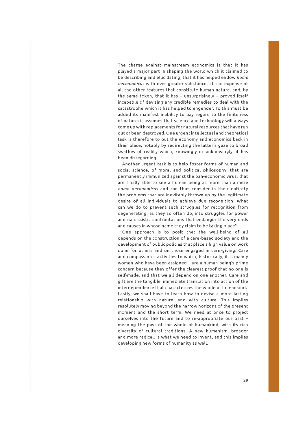The charge against mainstream economics is that it has played a major part in shaping the world which it claimed to be describing and elucidating, that it has helped endow *homo oeconomicus* with ever greater substance, at the expense of all the other features that constitute human nature, and, by the same token, that it has  $-$  unsurprisingly  $-$  proved itself incapable of devising any credible remedies to deal with the catastrophe which it has helped to engender. To this must be added its manifest inability to pay regard to the finiteness of nature: it assumes that science and technology will always come up with replacements for natural resources that have run out or been destroyed. One urgent intellectual and theoretical task is therefore to put the economy and economics back in their place, notably by redirecting the latter's gaze to broad swathes of reality which, knowingly or unknowingly, it has been disregarding.

Another urgent task is to help foster forms of human and social science, of moral and political philosophy, that are permanently immunized against the pan-economic virus, that are finally able to see a human being as more than a mere *homo oeconomicus* and can thus consider in their entirety the problems that are inevitably thrown up by the legitimate desire of all individuals to achieve due recognition. What can we do to prevent such struggles for recognition from degenerating, as they so often do, into struggles for power and narcissistic confrontations that endanger the very ends and causes in whose name they claim to be taking place?

One approach is to posit that the well-being of all depends on the construction of a care-based society and the development of public policies that place a high value on work done for others and on those engaged in care-giving. Care and compassion - activities to which, historically, it is mainly women who have been assigned - are a human being's prime concern because they offer the clearest proof that no one is self-made, and that we all depend on one another. Care and gift are the tangible, immediate translation into action of the interdependence that characterizes the whole of humankind. Lastly, we shall have to learn how to devise a more lasting relationship with nature, and with culture. This implies resolutely moving beyond the narrow horizons of the present moment and the short term. We need at once to project ourselves into the future and to re-appropriate our past meaning the past of the whole of humankind, with its rich diversity of cultural traditions. A new humanism, broader and more radical, is what we need to invent, and this implies developing new forms of humanity as well.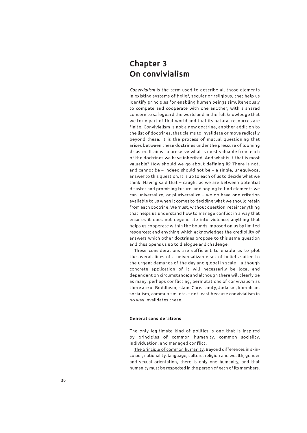# **Chapter 3 On convivialism**

*Convivialism* is the term used to describe all those elements in existing systems of belief, secular or religious, that help us identify principles for enabling human beings simultaneously to compete and cooperate with one another, with a shared concern to safeguard the world and in the full knowledge that we form part of that world and that its natural resources are finite. Convivialism is not a new doctrine, another addition to the list of doctrines, that claims to invalidate or move radically beyond these. It is the process of mutual questioning that arises between these doctrines under the pressure of looming disaster. It aims to preserve what is most valuable from each of the doctrines we have inherited. And what is it that is most valuable? How should we go about defining it? There is not, and cannot be - indeed should not be - a single, unequivocal answer to this question. It is up to each of us to decide what we think. Having said that - caught as we are between potential disaster and promising future, and hoping to find elements we can universalize, or pluriversalize - we do have one criterion available to us when it comes to deciding what we should retain from each doctrine. We must, without question, retain: anything that helps us understand how to manage conflict in a way that ensures it does not degenerate into violence; anything that helps us cooperate within the bounds imposed on us by limited resources; and anything which acknowledges the credibility of answers which other doctrines propose to this same question and thus opens us up to dialogue and challenge.

These considerations are sufficient to enable us to plot the overall lines of a universalizable set of beliefs suited to the urgent demands of the day and global in scale - although concrete application of it will necessarily be local and dependent on circumstance; and although there will clearly be as many, perhaps conflicting, permutations of convivialism as there are of Buddhism, Islam, Christianity, Judaism, liberalism, socialism, communism, etc. - not least because convivialism in no way invalidates these.

#### **General considerations**

The only legitimate kind of politics is one that is inspired by principles of common humanity, common sociality, individuation, and managed conflict.

The principle of common humanity. Beyond differences in skincolour, nationality, language, culture, religion and wealth, gender and sexual orientation, there is only one humanity, and that humanity must be respected in the person of each of its members.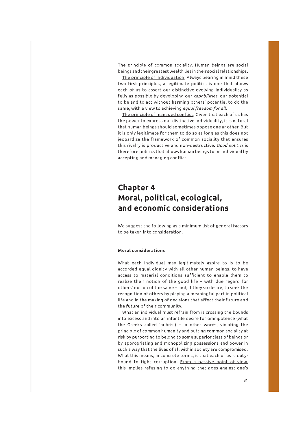The principle of common sociality. Human beings are social beings and their greatest wealth lies in theirsocia I relationships.

The principle of individuation. Always bearing in mind these two first principles, a legitimate politics is one that allows each of us to assert our distinctive evolving individuality as fully as possible by developing our *capabilities*, our potential to be and to act without harming others' potential to do the same, with a view to achieving equal freedom for all.

The principle of managed conflict. Given that each of us has the power to express our distinctive individuality, it is natural that human beings should sometimes oppose one another. But it is only legitimate for them to do so as long as this does not jeopardize the framework of common sociality that ensures this rivalry is productive and non-destructive. *Good politics* is therefore politics that allows human beings to be individual by accepting and managing conflict.

# **Chapter 4 Moral, political, ecological, and economic considerations**

We suggest the following as a minimum list of general factors to be taken into consideration.

#### **Moral considerations**

What each individual may legitimately aspire to is to be accorded equal dignity with all other human beings, to have access to material conditions sufficient to enable them to realize their notion of the good life - with due regard for others' notion of the same - and, if they so desire, to seek the recognition of others by playing a meaningful part in political life and in the making of decisions that affect their future and the future of their community.

W hat an individual must refrain from is crossing the bounds into excess and into an infantile desire for om nipotence (what the Greeks called 'hubris') - in other words, violating the principle of common humanity and putting common sociality at risk by purporting to belong to some superior class of beings or by appropriating and monopolizing possessions and power in such a way that the lives of all within society are compromised. What this means, in concrete terms, is that each of us is dutybound to fight corruption. From a passive point of view. this implies refusing to do anything that goes against one's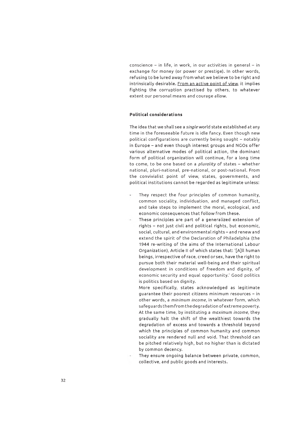conscience - in life, in work, in our activities in general - in exchange for money (or power or prestige). In other words, refusing to be lured away from what we believe to be right and intrinsically desirable. From an active point of view, it implies fighting the corruption practised by others, to whatever extent our personal means and courage allow.

#### **Political considerations**

The idea that we shall see a *single* world state established at any time in the foreseeable future is idle fancy. Even though new political configurations are currently being sought - notably in Europe - and even though interest groups and NGOs offer various alternative modes of political action, the dominant form of political organization will continue, for a long time to come, to be one based on a *plurality* of states - whether national, pluri-national, pre-national, or post-national. From the convivialist point of view, states, governments, and political institutions cannot be regarded as legitimate unless:

- They respect the four principles of common humanity, common sociality, individuation, and managed conflict, and take steps to implement the moral, ecological, and economic consequences that follow from these.
	- These principles are part of a generalized extension of rights - not just civil and political rights, but economic, social, cultural, and environmental rights – and renew and extend the spirit of the Declaration of Philadelphia (the 1944 re-writing of the aims of the International Labour Organization), Article II of which states that: '[A]ll human beings, irrespective of race, creed or sex, have the right to pursue both their material well-being and their spiritual development in conditions of freedom and dignity, of economic security and equal opportunity.' Good politics is politics based on dignity.

More specifically, states acknowledged as legitimate guarantee their poorest citizens minimum resources – in other words, a *minimum income*, in whatever form, which safeguards them from the degradation of extreme poverty. At the same time, by instituting a *maximum income*, they gradually halt the shift of the wealthiest towards the degradation of excess and towards a threshold beyond which the principles of common humanity and common sociality are rendered null and void. That threshold can be pitched relatively high, but no higher than is dictated by common decency.

They ensure ongoing balance between private, common, collective, and public goods and interests.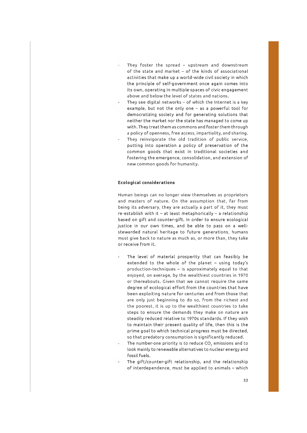- They foster the spread upstream and downstream of the state and market - of the kinds of associational activities that make up a world-wide civil society in which the principle of self-government once again comes into its own, operating in multiple spaces of civic engagement above and below the level of states and nations.
- They see digital networks  $-$  of which the Internet is a key example, but not the only one  $-$  as a powerful tool for democratizing society and for generating solutions that neither the market nor the state has managed to come up with. They treat them as commons and foster them through a policy of openness, free access, impartiality, and sharing.
	- They reinvigorate the old tradition of public service, putting into operation a policy of preservation of the common goods that exist in traditional societies and fostering the emergence, consolidation, and extension of new common goods for humanity.

#### **Ecological considerations**

Human beings can no longer view themselves as proprietors and masters of nature. On the assumption that, far from being its adversary, they are actually a part of it, they must  $re-establish$  with it - at least metaphorically - a relationship based on gift and counter-gift. In order to ensure ecological justice in our own times, and be able to pass on a wellstewarded natural heritage to future generations, humans must give back to nature as much as, or more than, they take or receive from it.

- The level of material prosperity that can feasibly be extended to the whole of the planet - using today's  $production-techniques - is approximately equal to that$ enjoyed, on average, by the wealthiest countries in 1970 or thereabouts. Given that we cannot require the same degree of ecological effort from the countries that have been exploiting nature for centuries and from those that are only just beginning to do so, from the richest and the poorest, it is up to the wealthiest countries to take steps to ensure the demands they make on nature are steadily reduced relative to 1970s standards. If they wish to maintain their present quality of life, then this is the prime goal to which technical progress must be directed, so that predatory consumption is significantly reduced.
- The number-one priority is to reduce  $CO<sub>2</sub>$  emissions and to look mainly to renewable alternatives to nuclear energy and fossil fuels.
- The gift/counter-gift relationship, and the relationship of interdependence, must be applied to animals - which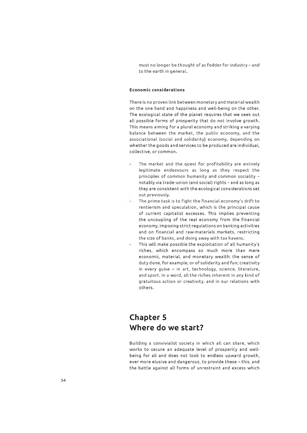must no longer be thought of as fodder for industry - and to the earth in general.

#### **Economic considerations**

There is no proven link between monetary and material wealth on the one hand and happiness and well-being on the other. The ecological state of the planet requires that we seek out all possible forms of prosperity that do not involve growth. This means aiming for a plural economy and striking a varying balance between the market, the public economy, and the associational (social and solidarity} economy, depending on whether the goods and services to be produced are individual, collective, or common.

- The market and the quest for profitability are entirely legitim ate endeavours as long as they respect the principles of common humanity and common sociality notably via trade-union (and social) rights - and as long as they are consistent with the ecological considerations set out previously.
- The prime task is to fight the financial economy's drift to rentierism and speculation, which is the principal cause of current capitalist excesses. This implies preventing the uncoupling of the real economy from the financial economy, imposing s trict regulations on banking activities and on financial and raw-materials markets, restricting the size of banks, and doing away with tax havens.
- This will make possible the exploitation of all humanity's riches, which encompass so much more than mere economic, material, and monetary wealth: the sense of duty done, for example, or of solidarity and fun; creativity in every guise - in art, technology, science, literature, and sport. In a word, all the riches inherent in any kind of gratuitous action or creativity, and in our relations with others.

# **Chapter 5 Where do we start?**

Building a convivialist society in which all can share, which works to secure an adequate level of prosperity and wellbeing for all and does not look to endless upward growth, ever more elusive and dangerous, to provide these – this, and the battle against all forms of unrestraint and excess which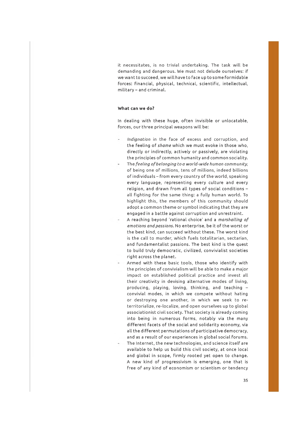it necessitates, is no trivial undertaking. The task will be demanding and dangerous. We must not delude ourselves: if we want to succeed, we will have to face up to some formidable forces: financial, physical, technical, scientific, intellectual, military - and criminal.

#### **What can we do?**

In dealing with these huge, often invisible or unlocatable, forces, our three principal weapons will be:

- Indignation in the face of excess and corruption, and the feeling of *shame* which we must evoke in those who, directly or indirectly, actively or passively, are violating the principles of common humanity and common sociality.
- The feeling of belonging to a world-wide human community, of being one of millions, tens of millions, indeed billions of individuals – from every country of the world, speaking every language, representing every culture and every religion, and drawn from all types of social conditions all fighting for the same thing: a fully human world. To highlight this, the members of this community should adopt a common theme or symbol indicating that they are engaged in a battle against corruption and unrestraint.
- A reaching beyond 'rational choice' and a *marshalling of em otions and passions.* No enterprise, be it of the worst or the best kind, can succeed without these. The worst kind is the call to murder, which fuels totalitarian, sectarian, and fundamentalist passions. The best kind is the quest to build truly democratic, civilized, convivialist societies right across the planet.
- Armed with these basic tools, those who identify with the principles of convivialism will be able to make a major impact on established political practice and invest all their creativity in devising alternative modes of living, producing, playing, loving, thinking, and teaching convivial modes, in which we compete without hating or destroying one another, in which we seek to reterritorialize, re-localize, and open ourselves up to global associationist civil society. That society is already coming in to being in numerous forms, notably via the many different facets of the social and solidarity economy, via all the different permutations of participative democracy, and as a result of our experiences in global social forums. The Internet, the new technologies, and science itself are available to help us build this civil society, at once local and global in scope, firm ly rooted yet open to change. A new kind of progressivism is emerging, one that is free of any kind of economism or scientism or tendency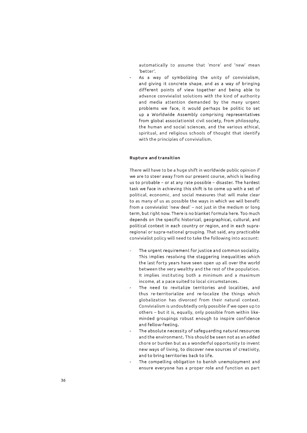automatically to assume that 'more' and 'new' mean 'better'.

As a way of symbolizing the unity of convivialism, and giving it concrete shape, and as a way of bringing different points of view together and being able to advance convivialist solutions with the kind of authority and media attention demanded by the many urgent problems we face, it would perhaps be politic to set up a Worldwide Assembly comprising representatives from global associationist civil society, from philosophy, the human and social sciences, and the various ethical, spiritual, and religious schools of thought that identify with the principles of convivialism.

#### **Rupture and transition**

There will have to be a huge shift in worldwide public opinion if we are to steer away from our present course, which is leading us to probable - or at any rate possible - disaster. The hardest task we face in achieving this shift is to come up with a set of political, economic, and social measures that will make clear to as many of us as possible the ways in which we will benefit from a convivialist 'new deal' - not just in the medium or long term, but right now. There is no blanket formula here. Too much depends on the specific historical, geographical, cultural, and political context in each country or region, and in each supraregional or supra-national grouping. That said, any practicable convivialist policy will need to take the following into account:

- The urgent requirement for justice and common sociality. This implies resolving the staggering inequalities which the last forty years have seen open up all over the world between the very wealthy and the rest of the population. It implies instituting both a minimum and a maximum income, at a pace suited to local circumstances.
- The need to revitalize territories and localities, and thus re-territorialize and re-localize the things which globalization has divorced from their natural context. Convivialism is undoubtedly only possible if we open up to others - but it is, equally, only possible from within likeminded groupings robust enough to inspire confidence and fellow-feeling.
- The absolute necessity of safeguarding natural resources and the environment. This should be seen not as an added chore or burden but as a wonderful opportunity to invent new ways of living, to discover new sources of creativity, and to bring territories back to life.
- The compelling obligation to banish unemployment and ensure everyone has a proper role and function as part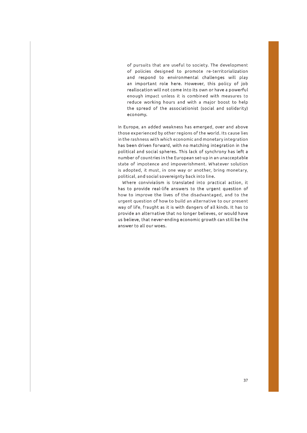of pursuits that are useful to society. The development of policies designed to promote re-territorialization and respond to environmental challenges will play an important role here. However, this policy of job reallocation will not come into its own or have a powerful enough impact unless it is combined with measures to reduce working hours and with a major boost to help the spread of the associationist (social and solidarity) economy.

In Europe, an added weakness has emerged, over and above those experienced by other regions of the world. Its cause lies in the rashness with which economic and monetary integration has been driven forward, with no matching integration in the political and social spheres. This lack of synchrony has left a number of countries in the European set-up in an unacceptable state of impotence and impoverishment. Whatever solution is adopted, it must, in one way or another, bring monetary, political, and social sovereignty back into line.

Where convivialism is translated into practical action, it has to provide real-life answers to the urgent question of how to improve the lives of the disadvantaged, and to the urgent question of how to build an alternative to our present way of life, fraught as it is with dangers of all kinds. It has to provide an alternative that no longer believes, or would have us believe, that never-ending economic grow th can s till be the answer to all our woes.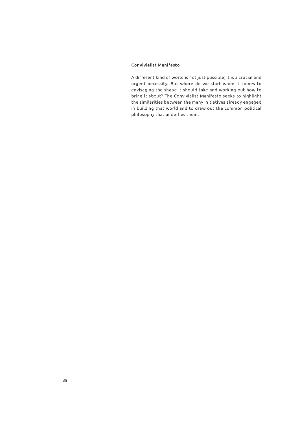#### Convivialist Manifesto

A different kind of world is not just possible; it is a crucial and urgent necessity. But where do we start when it comes to envisaging the shape it should take and working out how to bring it about? The Convivialist Manifesto seeks to highlight the similarities between the many initiatives already engaged in building that world and to draw out the common political philosophy that underlies them.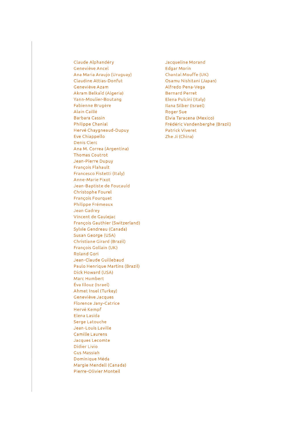Claude Alphandéry Geneviève Ancel Ana Maria Araujo (Uruguay) Claudine Attias-Donfut Geneviève Azam Akram Belkaïd (Algeria) Yann-Moulier-Boutang Fabienne Brugère Alain Caillé Barbara Cassin Philippe Chanial Flervé Chaygneaud-Dupuy Eve Chiappello Denis Clerc Ana M. Correa (Argentina) Thomas Coutrot Jean-Pierre Dupuy François Flahault Francesco Fistetti (Italy) Anne-Marie Fixot Jean-Baptiste de Foucauld Christophe Fourel François Fourquet Philippe Frémeaux Jean Gadrey Vincent de Gaulejac François Gauthier (Switzerland) Sylvie Gendreau (Canada) Susan George (USA) Christiane Girard (Brazil) François Gollain (UK) Roland Gori Jean-Claude Guillebaud Paulo Henrique Martins (Brazil) Dick Howard (USA) Marc Humbert Éva lllouz (Israël) Ahmet Insel (Turkey) Geneviève Jacques Florence Jany-Catrice Flervé Kempf Elena Lasida Serge Latouche Jean-Louis Laville Camille Laurens Jacques Lecomte Didier Livio Gus Massiah Dominique Méda Margie Mendell (Canada) Pierre-Olivier Monteil

Jacqueline Morand Edgar Morin Chantal Mouffe (UK) Osamu Nishitani (Japan) Alfredo Pena-Vega Bernard Perret Elena Pulcini (Italy) liana Silber (Israel) Roger Sue Elvia Taracena (Mexico) Frédéric Vandenberghe (Brazil) Patrick Viveret Zhe Ji (China)